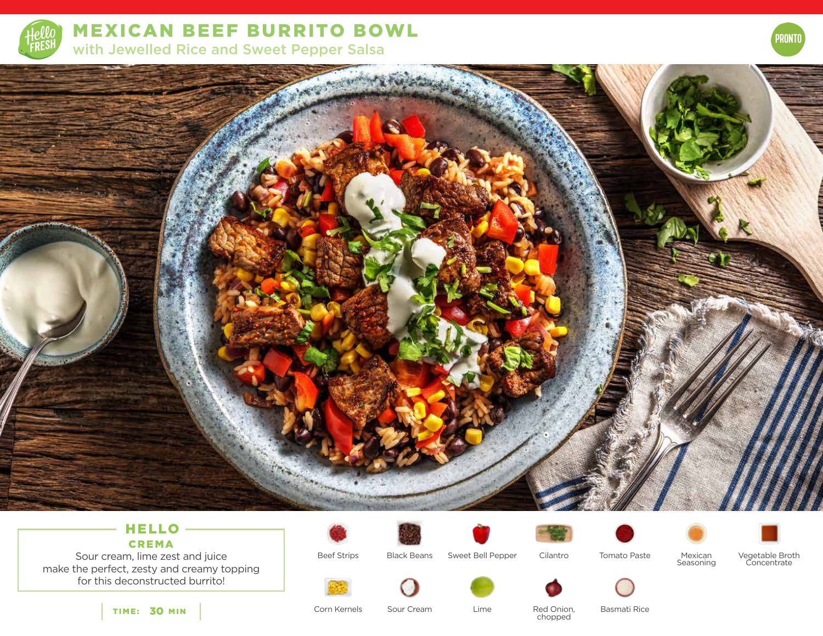

MEXICAN BEEF BURRITO BOWL with Jewelled Rice and Sweet Pepper Salsa



# HELLO -CREMA

Sour cream, lime zest and juice make the perfect, zesty and creamy topping for this deconstructed burrito!











PRONTO

Beef Strips

Black Beans Sweet Bell Pepper Cilantro

Tomato Paste Mexican Seasoning Vegetable Broth Concentrate



TIME: 30 MIN

Corn Kernels

Sour Cream Lime Red Onion, Lime

chopped

Basmati Rice